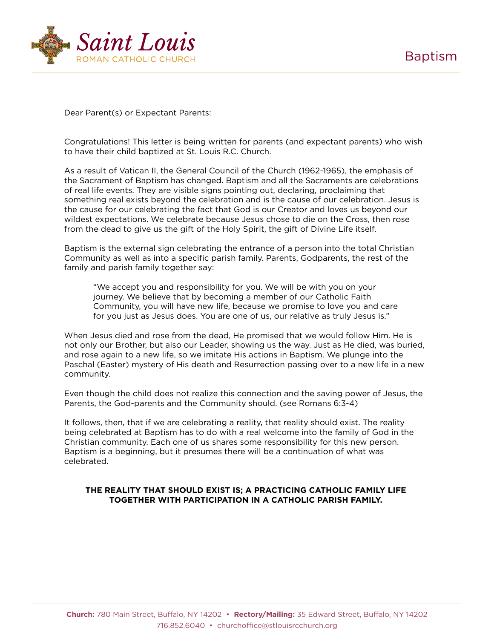

Dear Parent(s) or Expectant Parents:

Congratulations! This letter is being written for parents (and expectant parents) who wish to have their child baptized at St. Louis R.C. Church.

As a result of Vatican II, the General Council of the Church (1962-1965), the emphasis of the Sacrament of Baptism has changed. Baptism and all the Sacraments are celebrations of real life events. They are visible signs pointing out, declaring, proclaiming that something real exists beyond the celebration and is the cause of our celebration. Jesus is the cause for our celebrating the fact that God is our Creator and loves us beyond our wildest expectations. We celebrate because Jesus chose to die on the Cross, then rose from the dead to give us the gift of the Holy Spirit, the gift of Divine Life itself.

Baptism is the external sign celebrating the entrance of a person into the total Christian Community as well as into a specific parish family. Parents, Godparents, the rest of the family and parish family together say:

 "We accept you and responsibility for you. We will be with you on your journey. We believe that by becoming a member of our Catholic Faith Community, you will have new life, because we promise to love you and care for you just as Jesus does. You are one of us, our relative as truly Jesus is."

When Jesus died and rose from the dead, He promised that we would follow Him. He is not only our Brother, but also our Leader, showing us the way. Just as He died, was buried, and rose again to a new life, so we imitate His actions in Baptism. We plunge into the Paschal (Easter) mystery of His death and Resurrection passing over to a new life in a new community.

Even though the child does not realize this connection and the saving power of Jesus, the Parents, the God-parents and the Community should. (see Romans 6:3-4)

It follows, then, that if we are celebrating a reality, that reality should exist. The reality being celebrated at Baptism has to do with a real welcome into the family of God in the Christian community. Each one of us shares some responsibility for this new person. Baptism is a beginning, but it presumes there will be a continuation of what was celebrated.

## **THE REALITY THAT SHOULD EXIST IS; A PRACTICING CATHOLIC FAMILY LIFE TOGETHER WITH PARTICIPATION IN A CATHOLIC PARISH FAMILY.**